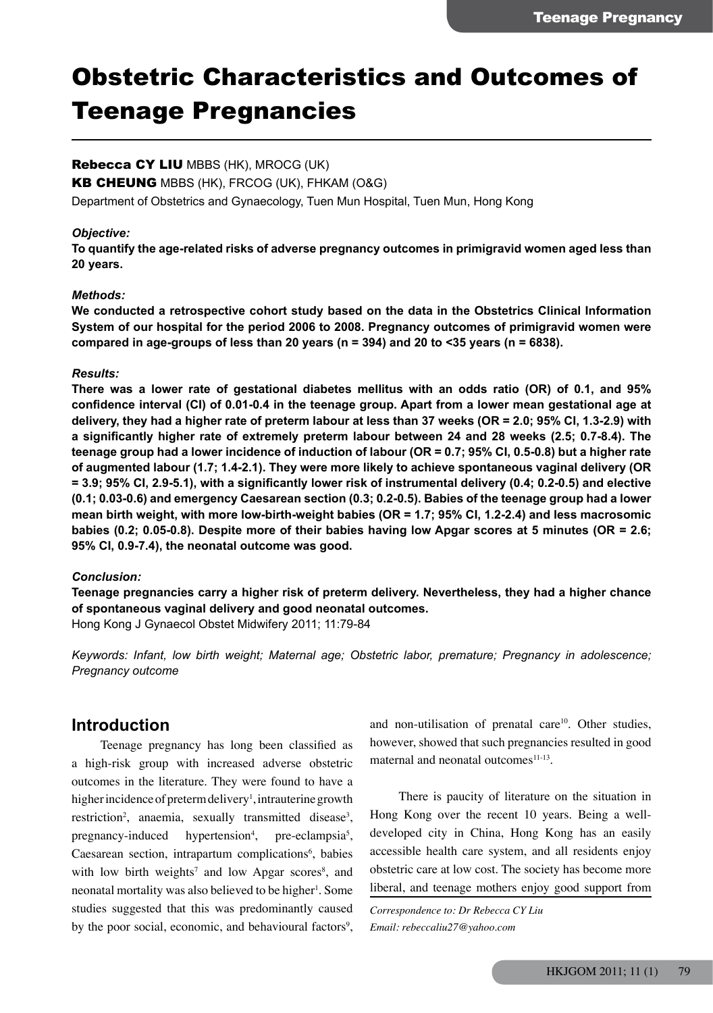# Obstetric Characteristics and Outcomes of Teenage Pregnancies

## Rebecca CY LIU MBBS (HK), MROCG (UK)

KB CHEUNG MBBS (HK), FRCOG (UK), FHKAM (O&G)

Department of Obstetrics and Gynaecology, Tuen Mun Hospital, Tuen Mun, Hong Kong

#### *Objective:*

**To quantify the age-related risks of adverse pregnancy outcomes in primigravid women aged less than 20 years.**

#### *Methods:*

**We conducted a retrospective cohort study based on the data in the Obstetrics Clinical Information System of our hospital for the period 2006 to 2008. Pregnancy outcomes of primigravid women were compared in age-groups of less than 20 years (n = 394) and 20 to <35 years (n = 6838).**

#### *Results:*

**There was a lower rate of gestational diabetes mellitus with an odds ratio (OR) of 0.1, and 95% confidence interval (CI) of 0.01-0.4 in the teenage group. Apart from a lower mean gestational age at delivery, they had a higher rate of preterm labour at less than 37 weeks (OR = 2.0; 95% CI, 1.3-2.9) with a significantly higher rate of extremely preterm labour between 24 and 28 weeks (2.5; 0.7-8.4). The teenage group had a lower incidence of induction of labour (OR = 0.7; 95% CI, 0.5-0.8) but a higher rate of augmented labour (1.7; 1.4-2.1). They were more likely to achieve spontaneous vaginal delivery (OR = 3.9; 95% CI, 2.9-5.1), with a significantly lower risk of instrumental delivery (0.4; 0.2-0.5) and elective (0.1; 0.03-0.6) and emergency Caesarean section (0.3; 0.2-0.5). Babies of the teenage group had a lower mean birth weight, with more low-birth-weight babies (OR = 1.7; 95% CI, 1.2-2.4) and less macrosomic babies (0.2; 0.05-0.8). Despite more of their babies having low Apgar scores at 5 minutes (OR = 2.6; 95% CI, 0.9-7.4), the neonatal outcome was good.**

#### *Conclusion:*

**Teenage pregnancies carry a higher risk of preterm delivery. Nevertheless, they had a higher chance of spontaneous vaginal delivery and good neonatal outcomes.** Hong Kong J Gynaecol Obstet Midwifery 2011; 11:79-84

*Keywords: Infant, low birth weight; Maternal age; Obstetric labor, premature; Pregnancy in adolescence; Pregnancy outcome*

# **Introduction**

Teenage pregnancy has long been classified as a high-risk group with increased adverse obstetric outcomes in the literature. They were found to have a higher incidence of preterm delivery<sup>1</sup>, intrauterine growth restriction<sup>2</sup>, anaemia, sexually transmitted disease<sup>3</sup>, pregnancy-induced hypertension<sup>4</sup>, , pre-eclampsia<sup>5</sup>, Caesarean section, intrapartum complications<sup>6</sup>, babies with low birth weights<sup>7</sup> and low Apgar scores<sup>8</sup>, and neonatal mortality was also believed to be higher<sup>1</sup>. Some studies suggested that this was predominantly caused by the poor social, economic, and behavioural factors<sup>9</sup>,

and non-utilisation of prenatal care<sup>10</sup>. Other studies, however, showed that such pregnancies resulted in good maternal and neonatal outcomes $11-13$ .

There is paucity of literature on the situation in Hong Kong over the recent 10 years. Being a welldeveloped city in China, Hong Kong has an easily accessible health care system, and all residents enjoy obstetric care at low cost. The society has become more liberal, and teenage mothers enjoy good support from

*Correspondence to: Dr Rebecca CY Liu Email: rebeccaliu27@yahoo.com*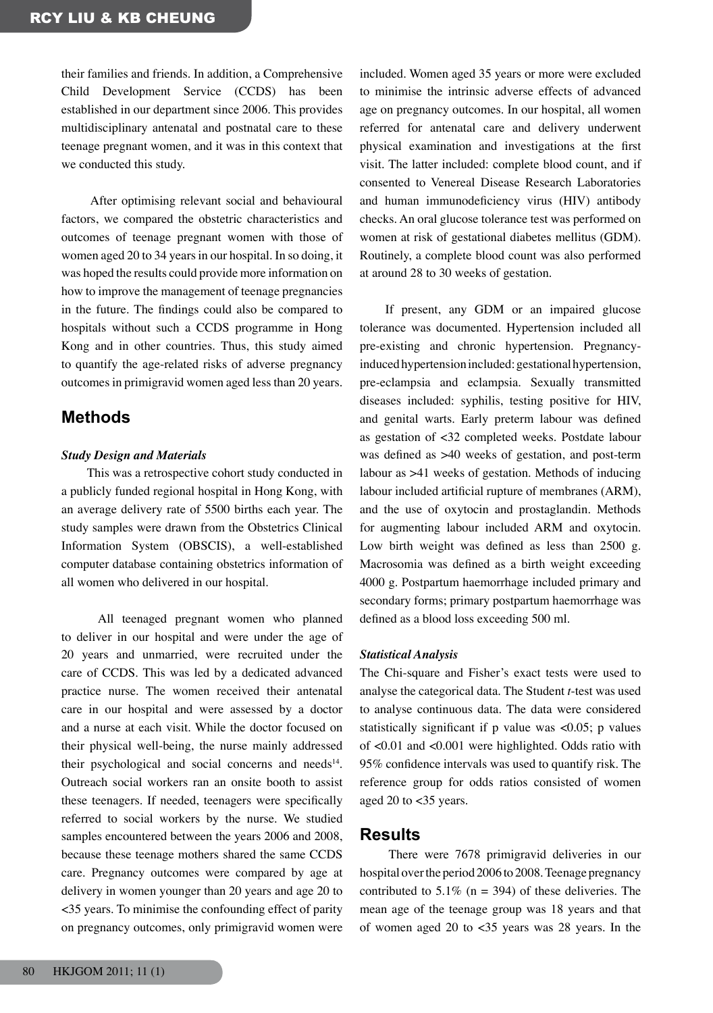their families and friends. In addition, a Comprehensive Child Development Service (CCDS) has been established in our department since 2006. This provides multidisciplinary antenatal and postnatal care to these teenage pregnant women, and it was in this context that we conducted this study.

After optimising relevant social and behavioural factors, we compared the obstetric characteristics and outcomes of teenage pregnant women with those of women aged 20 to 34 years in our hospital. In so doing, it was hoped the results could provide more information on how to improve the management of teenage pregnancies in the future. The findings could also be compared to hospitals without such a CCDS programme in Hong Kong and in other countries. Thus, this study aimed to quantify the age-related risks of adverse pregnancy outcomes in primigravid women aged less than 20 years.

# **Methods**

#### *Study Design and Materials*

This was a retrospective cohort study conducted in a publicly funded regional hospital in Hong Kong, with an average delivery rate of 5500 births each year. The study samples were drawn from the Obstetrics Clinical Information System (OBSCIS), a well-established computer database containing obstetrics information of all women who delivered in our hospital.

All teenaged pregnant women who planned to deliver in our hospital and were under the age of 20 years and unmarried, were recruited under the care of CCDS. This was led by a dedicated advanced practice nurse. The women received their antenatal care in our hospital and were assessed by a doctor and a nurse at each visit. While the doctor focused on their physical well-being, the nurse mainly addressed their psychological and social concerns and needs<sup>14</sup>. Outreach social workers ran an onsite booth to assist these teenagers. If needed, teenagers were specifically referred to social workers by the nurse. We studied samples encountered between the years 2006 and 2008, because these teenage mothers shared the same CCDS care. Pregnancy outcomes were compared by age at delivery in women younger than 20 years and age 20 to <35 years. To minimise the confounding effect of parity on pregnancy outcomes, only primigravid women were included. Women aged 35 years or more were excluded to minimise the intrinsic adverse effects of advanced age on pregnancy outcomes. In our hospital, all women referred for antenatal care and delivery underwent physical examination and investigations at the first visit. The latter included: complete blood count, and if consented to Venereal Disease Research Laboratories and human immunodeficiency virus (HIV) antibody checks. An oral glucose tolerance test was performed on women at risk of gestational diabetes mellitus (GDM). Routinely, a complete blood count was also performed at around 28 to 30 weeks of gestation.

If present, any GDM or an impaired glucose tolerance was documented. Hypertension included all pre-existing and chronic hypertension. Pregnancyinduced hypertension included: gestational hypertension, pre-eclampsia and eclampsia. Sexually transmitted diseases included: syphilis, testing positive for HIV, and genital warts. Early preterm labour was defined as gestation of <32 completed weeks. Postdate labour was defined as >40 weeks of gestation, and post-term labour as >41 weeks of gestation. Methods of inducing labour included artificial rupture of membranes (ARM), and the use of oxytocin and prostaglandin. Methods for augmenting labour included ARM and oxytocin. Low birth weight was defined as less than 2500 g. Macrosomia was defined as a birth weight exceeding 4000 g. Postpartum haemorrhage included primary and secondary forms; primary postpartum haemorrhage was defined as a blood loss exceeding 500 ml.

#### *Statistical Analysis*

The Chi-square and Fisher's exact tests were used to analyse the categorical data. The Student *t*-test was used to analyse continuous data. The data were considered statistically significant if p value was <0.05; p values of <0.01 and <0.001 were highlighted. Odds ratio with 95% confidence intervals was used to quantify risk. The reference group for odds ratios consisted of women aged 20 to <35 years.

## **Results**

There were 7678 primigravid deliveries in our hospital over the period 2006 to 2008. Teenage pregnancy contributed to 5.1% ( $n = 394$ ) of these deliveries. The mean age of the teenage group was 18 years and that of women aged 20 to <35 years was 28 years. In the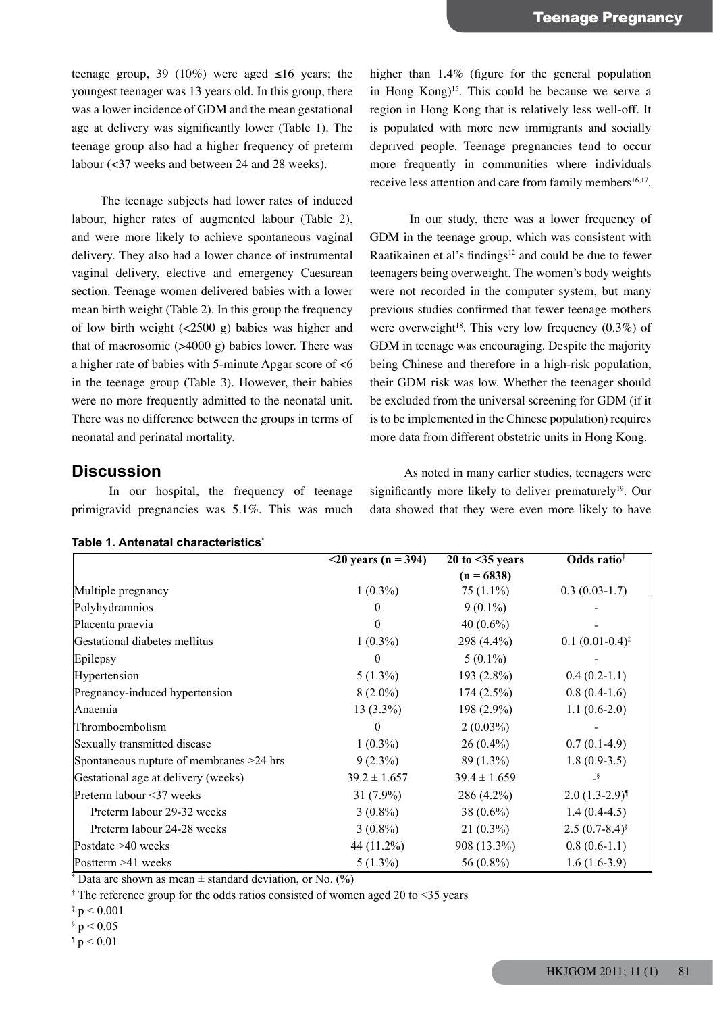teenage group, 39 (10%) were aged  $\leq 16$  years; the youngest teenager was 13 years old. In this group, there was a lower incidence of GDM and the mean gestational age at delivery was significantly lower (Table 1). The teenage group also had a higher frequency of preterm labour (<37 weeks and between 24 and 28 weeks).

The teenage subjects had lower rates of induced labour, higher rates of augmented labour (Table 2), and were more likely to achieve spontaneous vaginal delivery. They also had a lower chance of instrumental vaginal delivery, elective and emergency Caesarean section. Teenage women delivered babies with a lower mean birth weight (Table 2). In this group the frequency of low birth weight (<2500 g) babies was higher and that of macrosomic  $($ >4000 g) babies lower. There was a higher rate of babies with 5-minute Apgar score of <6 in the teenage group (Table 3). However, their babies were no more frequently admitted to the neonatal unit. There was no difference between the groups in terms of neonatal and perinatal mortality.

# **Discussion**

In our hospital, the frequency of teenage primigravid pregnancies was 5.1%. This was much

higher than 1.4% (figure for the general population in Hong Kong)15. This could be because we serve a region in Hong Kong that is relatively less well-off. It is populated with more new immigrants and socially deprived people. Teenage pregnancies tend to occur more frequently in communities where individuals receive less attention and care from family members<sup>16,17</sup>.

In our study, there was a lower frequency of GDM in the teenage group, which was consistent with Raatikainen et al's findings<sup>12</sup> and could be due to fewer teenagers being overweight. The women's body weights were not recorded in the computer system, but many previous studies confirmed that fewer teenage mothers were overweight<sup>18</sup>. This very low frequency  $(0.3\%)$  of GDM in teenage was encouraging. Despite the majority being Chinese and therefore in a high-risk population, their GDM risk was low. Whether the teenager should be excluded from the universal screening for GDM (if it is to be implemented in the Chinese population) requires more data from different obstetric units in Hong Kong.

As noted in many earlier studies, teenagers were significantly more likely to deliver prematurely<sup>19</sup>. Our data showed that they were even more likely to have

| Table 1. Antenatal characteristics*        |                        |                         |                              |
|--------------------------------------------|------------------------|-------------------------|------------------------------|
|                                            | $<$ 20 years (n = 394) | $20$ to $\leq$ 35 years | Odds ratio <sup>†</sup>      |
|                                            |                        | $(n = 6838)$            |                              |
| Multiple pregnancy                         | $1(0.3\%)$             | $75(1.1\%)$             | $0.3(0.03-1.7)$              |
| Polyhydramnios                             | $\theta$               | $9(0.1\%)$              |                              |
| Placenta praevia                           | $\bf{0}$               | 40 $(0.6\%)$            |                              |
| Gestational diabetes mellitus              | $1(0.3\%)$             | 298 (4.4%)              | $0.1(0.01-0.4)^{\ddagger}$   |
| Epilepsy                                   | $\theta$               | $5(0.1\%)$              |                              |
| Hypertension                               | $5(1.3\%)$             | $193(2.8\%)$            | $0.4(0.2-1.1)$               |
| Pregnancy-induced hypertension             | $8(2.0\%)$             | $174(2.5\%)$            | $0.8(0.4-1.6)$               |
| lAnaemia                                   | $13(3.3\%)$            | $198(2.9\%)$            | $1.1(0.6-2.0)$               |
| Thromboembolism                            | $\theta$               | $2(0.03\%)$             |                              |
| Sexually transmitted disease               | $1(0.3\%)$             | $26(0.4\%)$             | $0.7(0.1-4.9)$               |
| Spontaneous rupture of membranes $>24$ hrs | $9(2.3\%)$             | $89(1.3\%)$             | $1.8(0.9-3.5)$               |
| Gestational age at delivery (weeks)        | $39.2 \pm 1.657$       | $39.4 \pm 1.659$        | $-\frac{8}{3}$               |
| Preterm labour <37 weeks                   | $31(7.9\%)$            | 286 (4.2%)              | $2.0(1.3-2.9)$ <sup>1</sup>  |
| Preterm labour 29-32 weeks                 | $3(0.8\%)$             | 38 $(0.6\%)$            | $1.4(0.4-4.5)$               |
| Preterm labour 24-28 weeks                 | $3(0.8\%)$             | $21(0.3\%)$             | 2.5 $(0.7-8.4)$ <sup>§</sup> |
| Postdate $>40$ weeks                       | 44 (11.2%)             | 908 (13.3%)             | $0.8(0.6-1.1)$               |
| Postterm $>41$ weeks                       | $5(1.3\%)$             | 56 (0.8%)               | $1.6(1.6-3.9)$               |

\* Data are shown as mean  $\pm$  standard deviation, or No. (%)

† The reference group for the odds ratios consisted of women aged 20 to <35 years

 $\frac{1}{2} p < 0.001$ 

 $\frac{6}{9}$  p < 0.05

 $p < 0.01$ 

HKJGOM 2011; 11 (1) 81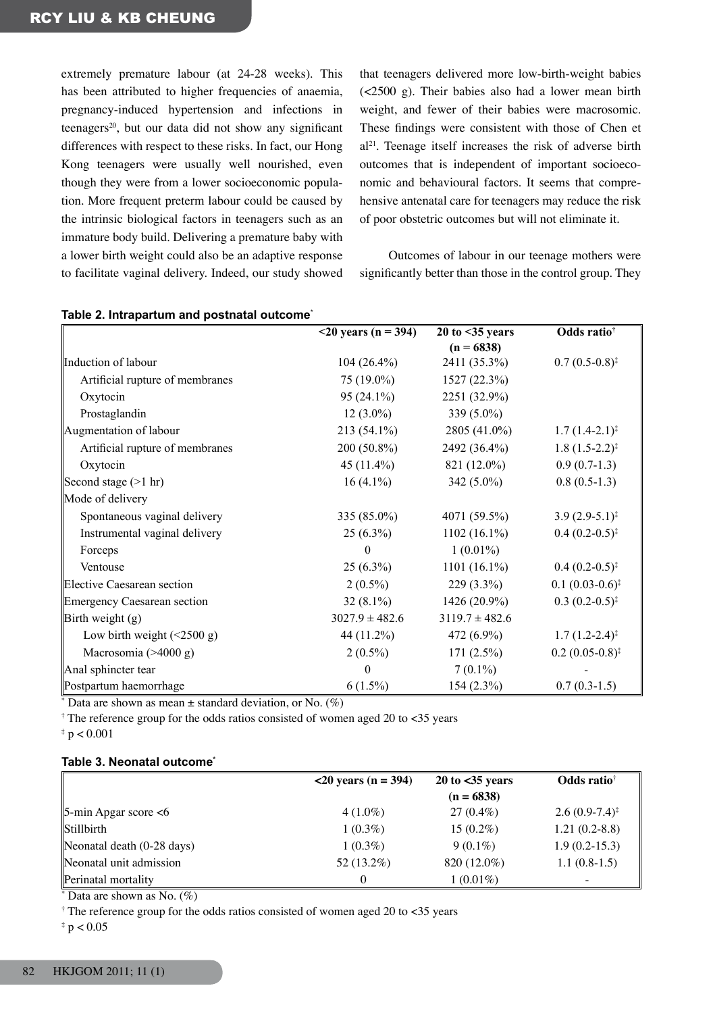extremely premature labour (at 24-28 weeks). This has been attributed to higher frequencies of anaemia, pregnancy-induced hypertension and infections in teenagers<sup>20</sup>, but our data did not show any significant differences with respect to these risks. In fact, our Hong Kong teenagers were usually well nourished, even though they were from a lower socioeconomic population. More frequent preterm labour could be caused by the intrinsic biological factors in teenagers such as an immature body build. Delivering a premature baby with a lower birth weight could also be an adaptive response to facilitate vaginal delivery. Indeed, our study showed

that teenagers delivered more low-birth-weight babies (<2500 g). Their babies also had a lower mean birth weight, and fewer of their babies were macrosomic. These findings were consistent with those of Chen et al21. Teenage itself increases the risk of adverse birth outcomes that is independent of important socioeconomic and behavioural factors. It seems that comprehensive antenatal care for teenagers may reduce the risk of poor obstetric outcomes but will not eliminate it.

Outcomes of labour in our teenage mothers were significantly better than those in the control group. They

|                                          | $\sqrt{20 \text{ years}}$ (n = 394) | $20$ to $\leq$ 35 years | Odds ratio <sup>†</sup>      |
|------------------------------------------|-------------------------------------|-------------------------|------------------------------|
|                                          |                                     | $(n = 6838)$            |                              |
| Induction of labour                      | $104(26.4\%)$                       | 2411 (35.3%)            | $0.7(0.5-0.8)^{\ddagger}$    |
| Artificial rupture of membranes          | 75 (19.0%)                          | 1527(22.3%)             |                              |
| Oxytocin                                 | $95(24.1\%)$                        | 2251 (32.9%)            |                              |
| Prostaglandin                            | $12(3.0\%)$                         | 339 $(5.0\%)$           |                              |
| Augmentation of labour                   | $213(54.1\%)$                       | 2805 (41.0%)            | $1.7(1.4-2.1)^{*}$           |
| Artificial rupture of membranes          | $200(50.8\%)$                       | 2492 (36.4%)            | $1.8(1.5-2.2)^{\ddagger}$    |
| Oxytocin                                 | 45 (11.4%)                          | 821 (12.0%)             | $0.9(0.7-1.3)$               |
| Second stage $(>1$ hr)                   | $16(4.1\%)$                         | 342 $(5.0\%)$           | $0.8(0.5-1.3)$               |
| Mode of delivery                         |                                     |                         |                              |
| Spontaneous vaginal delivery             | $335(85.0\%)$                       | 4071 (59.5%)            | $3.9(2.9-5.1)^{\ddagger}$    |
| Instrumental vaginal delivery            | $25(6.3\%)$                         | $1102(16.1\%)$          | $0.4(0.2-0.5)^{\ddagger}$    |
| Forceps                                  | $\theta$                            | $1(0.01\%)$             |                              |
| Ventouse                                 | $25(6.3\%)$                         | $1101 (16.1\%)$         | $0.4(0.2-0.5)^{\ddagger}$    |
| Elective Caesarean section               | $2(0.5\%)$                          | $229(3.3\%)$            | $0.1(0.03-0.6)^{\ddagger}$   |
| <b>Emergency Caesarean section</b>       | $32(8.1\%)$                         | $1426(20.9\%)$          | $0.3(0.2-0.5)^{\ddagger}$    |
| Birth weight $(g)$                       | $3027.9 \pm 482.6$                  | $3119.7 \pm 482.6$      |                              |
| Low birth weight $(\leq 2500 \text{ g})$ | 44 (11.2%)                          | $472(6.9\%)$            | $1.7(1.2-2.4)^{\ddagger}$    |
| Macrosomia $($ >4000 g)                  | $2(0.5\%)$                          | $171(2.5\%)$            | $0.2(0.05-0.8)$ <sup>‡</sup> |
| Anal sphincter tear                      | $\theta$                            | $7(0.1\%)$              |                              |
| Postpartum haemorrhage                   | $6(1.5\%)$                          | $154(2.3\%)$            | $0.7(0.3-1.5)$               |

## **Table 2. Intrapartum and postnatal outcome**\*

 $*$  Data are shown as mean  $\pm$  standard deviation, or No. (%)

† The reference group for the odds ratios consisted of women aged 20 to <35 years

 $* p < 0.001$ 

#### **Table 3. Neonatal outcome\***

|                                      | $20$ years (n = 394) | $20$ to $<$ 35 years | <b>Odds</b> ratio <sup>†</sup> |
|--------------------------------------|----------------------|----------------------|--------------------------------|
|                                      |                      | $(n = 6838)$         |                                |
| $\beta$ -min Apgar score <6          | $4(1.0\%)$           | $27(0.4\%)$          | $2.6(0.9-7.4)^{\ddagger}$      |
| Stillbirth                           | $1(0.3\%)$           | $15(0.2\%)$          | $1.21(0.2-8.8)$                |
| Neonatal death $(0-28 \text{ days})$ | $1(0.3\%)$           | $9(0.1\%)$           | $1.9(0.2-15.3)$                |
| Neonatal unit admission              | 52 (13.2%)           | 820 (12.0%)          | $1.1(0.8-1.5)$                 |
| Perinatal mortality                  |                      | $1(0.01\%)$          |                                |

 $*$  Data are shown as No.  $(\%)$ 

 $\dagger$  The reference group for the odds ratios consisted of women aged 20 to <35 years

 $*$  p  $< 0.05$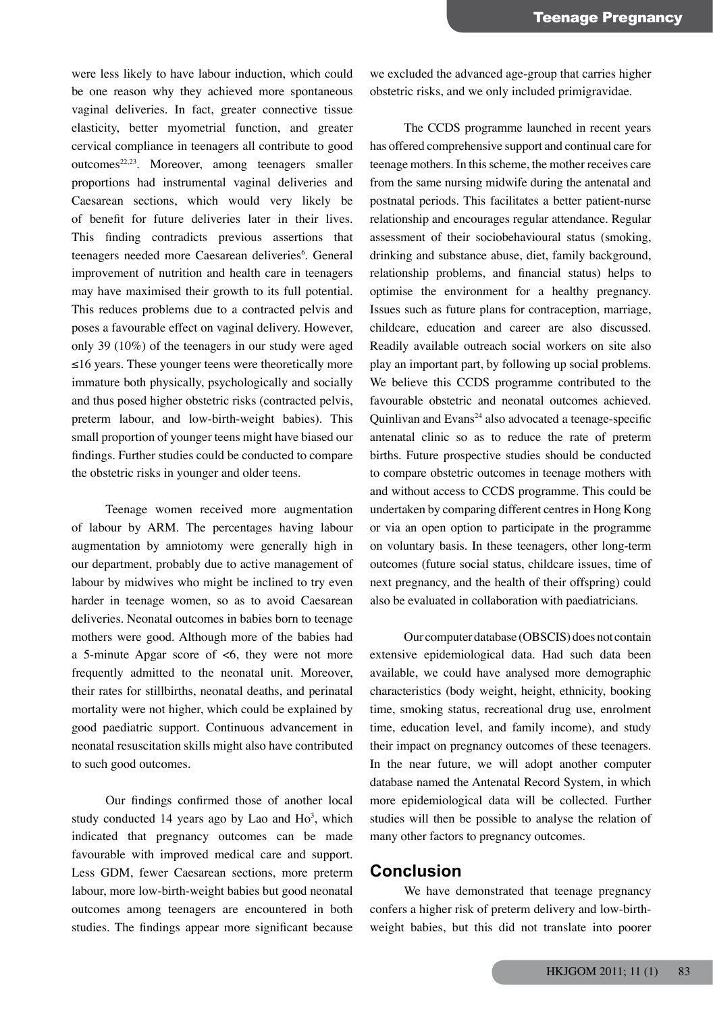were less likely to have labour induction, which could be one reason why they achieved more spontaneous vaginal deliveries. In fact, greater connective tissue elasticity, better myometrial function, and greater cervical compliance in teenagers all contribute to good outcomes<sup>22,23</sup>. Moreover, among teenagers smaller proportions had instrumental vaginal deliveries and Caesarean sections, which would very likely be of benefit for future deliveries later in their lives. This finding contradicts previous assertions that teenagers needed more Caesarean deliveries<sup>6</sup>. General improvement of nutrition and health care in teenagers may have maximised their growth to its full potential. This reduces problems due to a contracted pelvis and poses a favourable effect on vaginal delivery. However, only 39 (10%) of the teenagers in our study were aged ≤16 years. These younger teens were theoretically more immature both physically, psychologically and socially and thus posed higher obstetric risks (contracted pelvis, preterm labour, and low-birth-weight babies). This small proportion of younger teens might have biased our findings. Further studies could be conducted to compare the obstetric risks in younger and older teens.

Teenage women received more augmentation of labour by ARM. The percentages having labour augmentation by amniotomy were generally high in our department, probably due to active management of labour by midwives who might be inclined to try even harder in teenage women, so as to avoid Caesarean deliveries. Neonatal outcomes in babies born to teenage mothers were good. Although more of the babies had a 5-minute Apgar score of <6, they were not more frequently admitted to the neonatal unit. Moreover, their rates for stillbirths, neonatal deaths, and perinatal mortality were not higher, which could be explained by good paediatric support. Continuous advancement in neonatal resuscitation skills might also have contributed to such good outcomes.

Our findings confirmed those of another local study conducted 14 years ago by Lao and  $Ho<sup>3</sup>$ , which indicated that pregnancy outcomes can be made favourable with improved medical care and support. Less GDM, fewer Caesarean sections, more preterm labour, more low-birth-weight babies but good neonatal outcomes among teenagers are encountered in both studies. The findings appear more significant because

we excluded the advanced age-group that carries higher obstetric risks, and we only included primigravidae.

The CCDS programme launched in recent years has offered comprehensive support and continual care for teenage mothers. In this scheme, the mother receives care from the same nursing midwife during the antenatal and postnatal periods. This facilitates a better patient-nurse relationship and encourages regular attendance. Regular assessment of their sociobehavioural status (smoking, drinking and substance abuse, diet, family background, relationship problems, and financial status) helps to optimise the environment for a healthy pregnancy. Issues such as future plans for contraception, marriage, childcare, education and career are also discussed. Readily available outreach social workers on site also play an important part, by following up social problems. We believe this CCDS programme contributed to the favourable obstetric and neonatal outcomes achieved. Quinlivan and Evans $24$  also advocated a teenage-specific antenatal clinic so as to reduce the rate of preterm births. Future prospective studies should be conducted to compare obstetric outcomes in teenage mothers with and without access to CCDS programme. This could be undertaken by comparing different centresin Hong Kong or via an open option to participate in the programme on voluntary basis. In these teenagers, other long-term outcomes (future social status, childcare issues, time of next pregnancy, and the health of their offspring) could also be evaluated in collaboration with paediatricians.

Our computer database (OBSCIS) does not contain extensive epidemiological data. Had such data been available, we could have analysed more demographic characteristics (body weight, height, ethnicity, booking time, smoking status, recreational drug use, enrolment time, education level, and family income), and study their impact on pregnancy outcomes of these teenagers. In the near future, we will adopt another computer database named the Antenatal Record System, in which more epidemiological data will be collected. Further studies will then be possible to analyse the relation of many other factors to pregnancy outcomes.

## **Conclusion**

We have demonstrated that teenage pregnancy confers a higher risk of preterm delivery and low-birthweight babies, but this did not translate into poorer